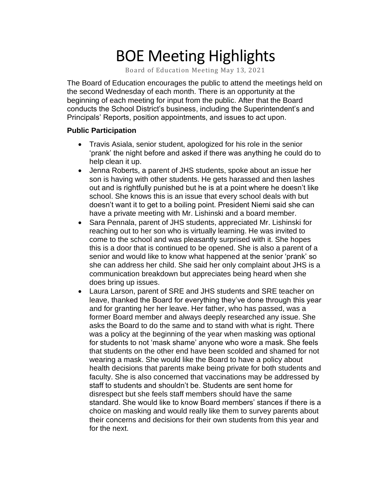# BOE Meeting Highlights

Board of Education Meeting May 13, 2021

 The Board of Education encourages the public to attend the meetings held on the second Wednesday of each month. There is an opportunity at the beginning of each meeting for input from the public. After that the Board conducts the School District's business, including the Superintendent's and Principals' Reports, position appointments, and issues to act upon.

#### **Public Participation**

- • Travis Asiala, senior student, apologized for his role in the senior 'prank' the night before and asked if there was anything he could do to help clean it up.
- • Jenna Roberts, a parent of JHS students, spoke about an issue her son is having with other students. He gets harassed and then lashes out and is rightfully punished but he is at a point where he doesn't like school. She knows this is an issue that every school deals with but doesn't want it to get to a boiling point. President Niemi said she can have a private meeting with Mr. Lishinski and a board member.
- • Sara Pennala, parent of JHS students, appreciated Mr. Lishinski for reaching out to her son who is virtually learning. He was invited to come to the school and was pleasantly surprised with it. She hopes this is a door that is continued to be opened. She is also a parent of a senior and would like to know what happened at the senior 'prank' so she can address her child. She said her only complaint about JHS is a communication breakdown but appreciates being heard when she does bring up issues.
- • Laura Larson, parent of SRE and JHS students and SRE teacher on leave, thanked the Board for everything they've done through this year and for granting her her leave. Her father, who has passed, was a former Board member and always deeply researched any issue. She asks the Board to do the same and to stand with what is right. There was a policy at the beginning of the year when masking was optional for students to not 'mask shame' anyone who wore a mask. She feels that students on the other end have been scolded and shamed for not wearing a mask. She would like the Board to have a policy about health decisions that parents make being private for both students and faculty. She is also concerned that vaccinations may be addressed by staff to students and shouldn't be. Students are sent home for disrespect but she feels staff members should have the same standard. She would like to know Board members' stances if there is a choice on masking and would really like them to survey parents about their concerns and decisions for their own students from this year and for the next.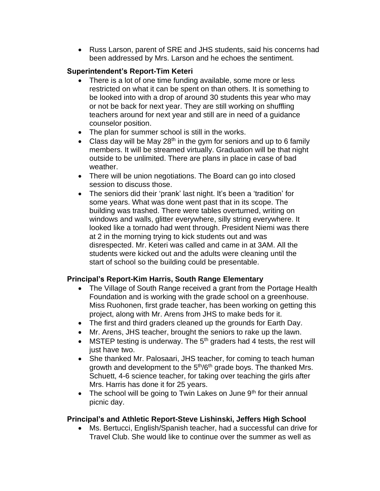• Russ Larson, parent of SRE and JHS students, said his concerns had been addressed by Mrs. Larson and he echoes the sentiment.

#### **Superintendent's Report-Tim Keteri**

- There is a lot of one time funding available, some more or less restricted on what it can be spent on than others. It is something to be looked into with a drop of around 30 students this year who may or not be back for next year. They are still working on shuffling teachers around for next year and still are in need of a guidance counselor position.
- The plan for summer school is still in the works.
- Class day will be May  $28<sup>th</sup>$  in the gym for seniors and up to 6 family members. It will be streamed virtually. Graduation will be that night outside to be unlimited. There are plans in place in case of bad weather.
- There will be union negotiations. The Board can go into closed session to discuss those.
- The seniors did their 'prank' last night. It's been a 'tradition' for some years. What was done went past that in its scope. The building was trashed. There were tables overturned, writing on windows and walls, glitter everywhere, silly string everywhere. It looked like a tornado had went through. President Niemi was there at 2 in the morning trying to kick students out and was disrespected. Mr. Keteri was called and came in at 3AM. All the students were kicked out and the adults were cleaning until the start of school so the building could be presentable.

## **Principal's Report-Kim Harris, South Range Elementary**

- • The Village of South Range received a grant from the Portage Health Foundation and is working with the grade school on a greenhouse. Miss Ruohonen, first grade teacher, has been working on getting this project, along with Mr. Arens from JHS to make beds for it.
- The first and third graders cleaned up the grounds for Earth Day.
- Mr. Arens, JHS teacher, brought the seniors to rake up the lawn.
- MSTEP testing is underway. The  $5<sup>th</sup>$  graders had 4 tests, the rest will just have two.
- • She thanked Mr. Palosaari, JHS teacher, for coming to teach human growth and development to the 5<sup>th</sup>/6<sup>th</sup> grade boys. The thanked Mrs. Schuett, 4-6 science teacher, for taking over teaching the girls after Mrs. Harris has done it for 25 years.
- The school will be going to Twin Lakes on June  $9<sup>th</sup>$  for their annual picnic day.

#### **Principal's and Athletic Report-Steve Lishinski, Jeffers High School**

 • Ms. Bertucci, English/Spanish teacher, had a successful can drive for Travel Club. She would like to continue over the summer as well as